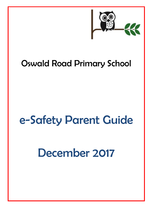

# Oswald Road Primary School

# e-Safety Parent Guide

# December 2017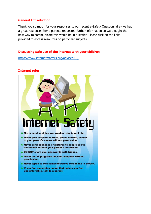#### **General Introduction**

Thank you so much for your responses to our recent e-Safety Questionnaire- we had a great response. Some parents requested further information so we thought the best way to communicate this would be in a leaflet. Please click on the links provided to access resources on particular subjects.

#### **Discussing safe use of the internet with your children**

<https://www.internetmatters.org/advice/0-5/>

#### **Internet rules**



- **O** Never agree to met someone you've met online in person.
- If you find something online that makes you feel uncomfortable, talk to a parent.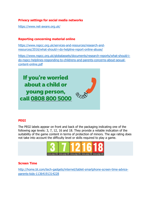# **Privacy settings for social media networks**

<https://www.net-aware.org.uk/>

#### **Reporting concerning material online**

[https://www.nspcc.org.uk/services-and-resources/research-and](https://www.nspcc.org.uk/services-and-resources/research-and-resources/2016/what-should-i-do-helpline-report-online-abuse/)[resources/2016/what-should-i-do-helpline-report-online-abuse/](https://www.nspcc.org.uk/services-and-resources/research-and-resources/2016/what-should-i-do-helpline-report-online-abuse/)

[https://www.nspcc.org.uk/globalassets/documents/research-reports/what-should-i](https://www.nspcc.org.uk/globalassets/documents/research-reports/what-should-i-do-nspcc-helplines-responding-to-childrens-and-parents-concerns-about-sexual-content-online.pdf)[do-nspcc-helplines-responding-to-childrens-and-parents-concerns-about-sexual](https://www.nspcc.org.uk/globalassets/documents/research-reports/what-should-i-do-nspcc-helplines-responding-to-childrens-and-parents-concerns-about-sexual-content-online.pdf)[content-online.pdf](https://www.nspcc.org.uk/globalassets/documents/research-reports/what-should-i-do-nspcc-helplines-responding-to-childrens-and-parents-concerns-about-sexual-content-online.pdf)



#### **PEGI**

The PEGI labels appear on front and back of the packaging indicating one of the following age levels: 3, 7, 12, 16 and 18. They provide a reliable indication of the suitability of the game content in terms of protection of minors. The age rating does not take into account the difficulty level or skills required to play a game.



#### **Screen Time**

[http://home.bt.com/tech-gadgets/internet/tablet-smartphone-screen-time-advice](http://home.bt.com/tech-gadgets/internet/tablet-smartphone-screen-time-advice-parents-kids-11364191314228)[parents-kids-11364191314228](http://home.bt.com/tech-gadgets/internet/tablet-smartphone-screen-time-advice-parents-kids-11364191314228)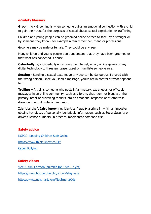#### **e-Safety Glossary**

**Grooming -** Grooming is when someone builds an emotional connection with a child to gain their trust for the purposes of sexual abuse, sexual exploitation or trafficking.

Children and young people can be groomed online or face-to-face, by a stranger or by someone they know - for example a family member, friend or professional.

Groomers may be male or female. They could be any age.

Many children and young people don't understand that they have been groomed or that what has happened is abuse.

**Cyberbullying -** Cyberbullying is using the internet, email, online games or any digital technology to threaten, tease, upset or humiliate someone else.

**Sexting -** Sending a sexual text, image or video can be dangerous if shared with the wrong person. Once you send a message, you're not in control of what happens to it.

**Trolling –** A troll is someone who posts inflammatory, extraneous, or off-topic messages in an online community, such as a forum, chat room, or blog, with the primary intent of provoking readers into an emotional response or of otherwise disrupting normal on-topic discussion.

**Identity theft (also known as identity fraud)-** a crime in which an imposter obtains key pieces of personally identifiable information, such as Social Security or driver's license numbers, in order to impersonate someone else.

## **Safety advice**

NSPCC- [Keeping Children Safe Online](https://www.nspcc.org.uk/preventing-abuse/keeping-children-safe/online-safety/?utm_source=google&utm_medium=cpc&utm_campaign=GEN_-_Safety_-_%5bBMM%5d&utm_term=safety_online&gclid=EAIaIQobChMIzf69lvno1wIV6LztCh1wWgGIEAAYBCAAEgKqv_D_BwE&gclsrc=aw.ds) <https://www.thinkuknow.co.uk/> [Cyber Bullying](https://www.kidpower.org/library/article/cyber-bullying/?gclid=EAIaIQobChMIzf69lvno1wIV6LztCh1wWgGIEAMYASAAEgIsX_D_BwE)

## **Safety videos**

['Lee & Kim' Cartoon \(suitable for 5 yrs -](https://www.youtube.com/watch?v=-nMUbHuffO8) 7 yrs) <https://www.bbc.co.uk/cbbc/shows/stay-safe> <https://www.netsmartz.org/NetSmartzKids>